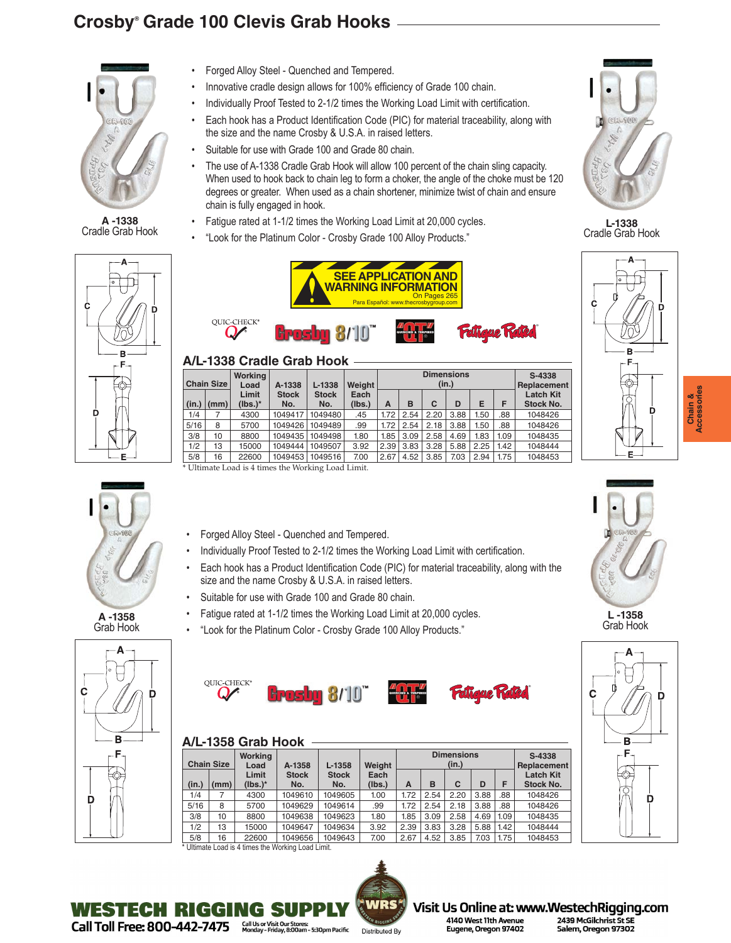# **Crosby® Grade 100 Clevis Grab Hooks**



**[A -1338](https://www.westechrigging.com/chain-slings-fittings-crosby-chain-fittings-a-1338-cradle-grab-hooks.html)** Cradle Grab Hook

- Ċ B F.
- 

**A -1358** Grab Hook



- Forged Alloy Steel Quenched and Tempered.
- Innovative cradle design allows for 100% efficiency of Grade 100 chain.
- Individually Proof Tested to 2-1/2 times the Working Load Limit with certification.
- Each hook has a Product Identification Code (PIC) for material traceability, along with the size and the name Crosby & U.S.A. in raised letters.
- Suitable for use with Grade 100 and Grade 80 chain.
- The use of A-1338 Cradle Grab Hook will allow 100 percent of the chain sling capacity. When used to hook back to chain leg to form a choker, the angle of the choke must be 120 degrees or greater. When used as a chain shortener, minimize twist of chain and ensure chain is fully engaged in hook.
- Fatigue rated at 1-1/2 times the Working Load Limit at 20,000 cycles.
- "Look for the Platinum Color Crosby Grade 100 Alloy Products."



# **A/L-1338 Cradle Grab Hook**

| .<br>------------------- |                  |                        |                     |                     |                |                            |      |      |      |             |      |                               |
|--------------------------|------------------|------------------------|---------------------|---------------------|----------------|----------------------------|------|------|------|-------------|------|-------------------------------|
| Chain Size               |                  | <b>Working</b><br>Load | A-1338              | $L-1338$            | Weiaht         | <b>Dimensions</b><br>(in.) |      |      |      |             |      | S-4338<br>Replacement         |
|                          | $(in.)$ $ (mm) $ | Limit<br>$(lbs.)^*$    | <b>Stock</b><br>No. | <b>Stock</b><br>No. | Each<br>(lbs.) | A                          | в    | C    | D    | Е           | Е    | <b>Latch Kit</b><br>Stock No. |
| 1/4                      |                  | 4300                   | 1049417             | 1049480             | .45            | 1.72                       | 2.54 | 2.20 | 3.88 | <b>1.50</b> | .88  | 1048426                       |
| 5/16                     | 8                | 5700                   | 1049426             | 1049489             | .99            | 1.72                       | 2.54 | 2.18 | 3.88 | i.50        | .88  | 1048426                       |
| 3/8                      | 10               | 8800                   | 1049435             | 1049498             | 1.80           | 1.85                       | 3.09 | 2.58 | 4.69 | 1.83        | 1.09 | 1048435                       |
| 1/2                      | 13               | 15000                  | 1049444             | 1049507             | 3.92           | 2.39                       | 3.83 | 3.28 | 5.88 | 2.25        | 1.42 | 1048444                       |
| 5/8                      | 16               | 22600                  | 1049453             | 1049516             | 7.00           | 2.67                       | 4.52 | 3.85 | 7.03 | 2.94        | 1.75 | 1048453                       |
|                          |                  |                        |                     |                     |                |                            |      |      |      |             |      |                               |

Ultimate Load is 4 times the Working Load Limit.

- Forged Alloy Steel Quenched and Tempered.
- Individually Proof Tested to 2-1/2 times the Working Load Limit with certification.
- Each hook has a Product Identification Code (PIC) for material traceability, along with the size and the name Crosby & U.S.A. in raised letters.
- Suitable for use with Grade 100 and Grade 80 chain.
- Fatigue rated at 1-1/2 times the Working Load Limit at 20,000 cycles.
- "Look for the Platinum Color Crosby Grade 100 Alloy Products."



# **A/L-1358 Grab Hook**

| <b>Chain Size</b> |      | Working<br>A-1358<br>Load |                     | $L-1358$            | Weight         |      | <b>Dimensions</b> | S-4338<br>Replacement |      |      |                               |
|-------------------|------|---------------------------|---------------------|---------------------|----------------|------|-------------------|-----------------------|------|------|-------------------------------|
| (in.)             | (mm) | Limit<br>$(lbs.)^*$       | <b>Stock</b><br>No. | <b>Stock</b><br>No. | Each<br>(Ibs.) | A    | B                 | C                     | D    | F    | <b>Latch Kit</b><br>Stock No. |
| 1/4               |      | 4300                      | 1049610             | 1049605             | 1.00           | 1.72 | 2.54              | 2.20                  | 3.88 | .88  | 1048426                       |
| 5/16              | 8    | 5700                      | 1049629             | 1049614             | .99            | 1.72 | 2.54              | 2.18                  | 3.88 | .88  | 1048426                       |
| 3/8               | 10   | 8800                      | 1049638             | 1049623             | 1.80           | 1.85 | 3.09              | 2.58                  | 4.69 | 1.09 | 1048435                       |
| 1/2               | 13   | 15000                     | 1049647             | 1049634             | 3.92           | 2.39 | 3.83              | 3.28                  | 5.88 | 1.42 | 1048444                       |
| 5/8               | 16   | 22600                     | 1049656             | 1049643             | 7.00           | 2.67 | 4.52              | 3.85                  | 7.03 | 1.75 | 1048453                       |
|                   |      |                           |                     |                     |                |      |                   |                       |      |      |                               |

\* Ultimate Load is 4 times the Working Load Limit.

WESTECH RIGGING SU





**[L-1338](https://www.westechrigging.com/chain-slings-fittings-crosby-l-1338-locking-cradle-grab-hooks.html)** Cradle Grab Hook





**L -1358** Grab Hook





Visit Us Online at: www.WestechRigging.com 2439 McGilchrist St SE Salem, Oregon 97302

Chain &<br>Accessories **Accessories Chain &**